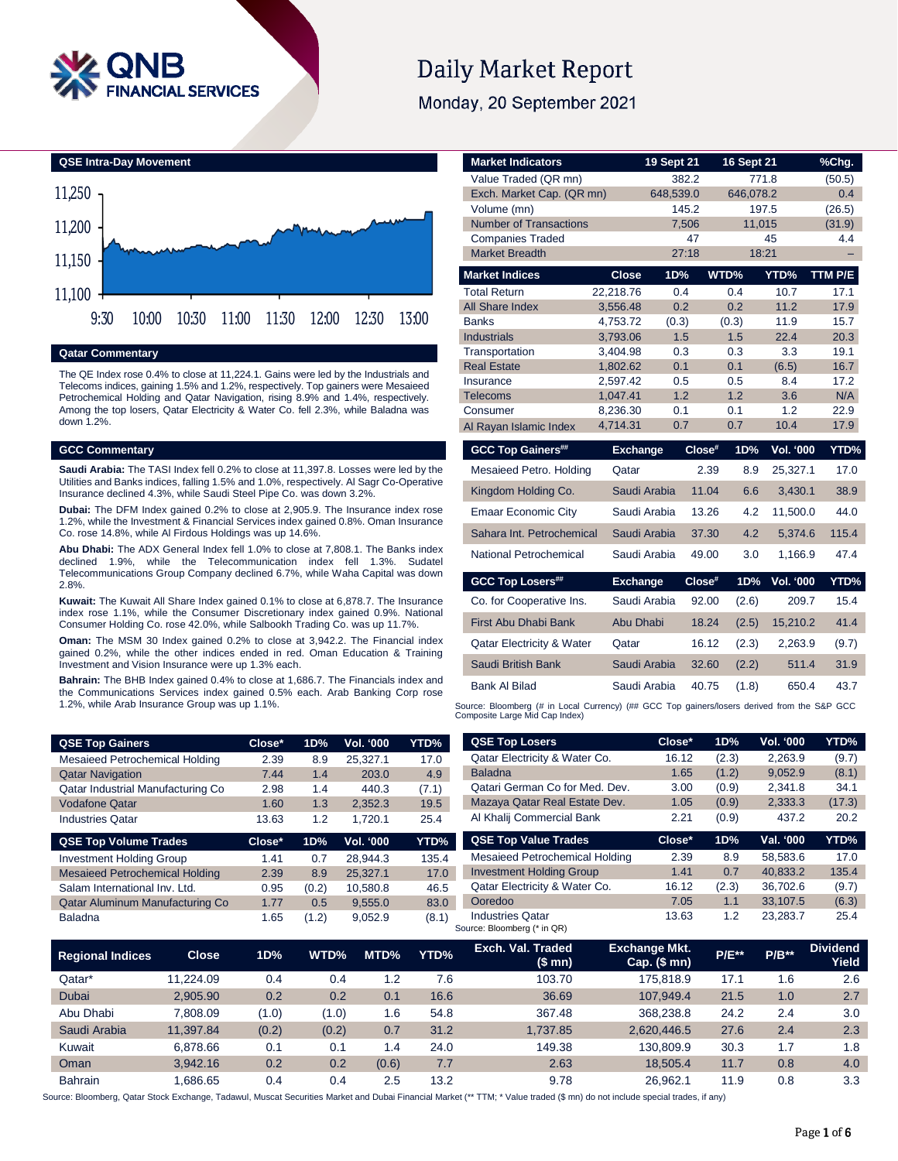

# **Daily Market Report**

Monday, 20 September 2021





#### **Qatar Commentary**

The QE Index rose 0.4% to close at 11,224.1. Gains were led by the Industrials and Telecoms indices, gaining 1.5% and 1.2%, respectively. Top gainers were Mesaieed Petrochemical Holding and Qatar Navigation, rising 8.9% and 1.4%, respectively. Among the top losers, Qatar Electricity & Water Co. fell 2.3%, while Baladna was down 1.2%.

#### **GCC Commentary**

**Saudi Arabia:** The TASI Index fell 0.2% to close at 11,397.8. Losses were led by the Utilities and Banks indices, falling 1.5% and 1.0%, respectively. Al Sagr Co-Operative Insurance declined 4.3%, while Saudi Steel Pipe Co. was down 3.2%.

**Dubai:** The DFM Index gained 0.2% to close at 2,905.9. The Insurance index rose 1.2%, while the Investment & Financial Services index gained 0.8%. Oman Insurance Co. rose 14.8%, while Al Firdous Holdings was up 14.6%.

**Abu Dhabi:** The ADX General Index fell 1.0% to close at 7,808.1. The Banks index declined 1.9%, while the Telecommunication index fell 1.3%. Sudatel Telecommunications Group Company declined 6.7%, while Waha Capital was down 2.8%.

**Kuwait:** The Kuwait All Share Index gained 0.1% to close at 6,878.7. The Insurance index rose 1.1%, while the Consumer Discretionary index gained 0.9%. National Consumer Holding Co. rose 42.0%, while Salbookh Trading Co. was up 11.7%.

**Oman:** The MSM 30 Index gained 0.2% to close at 3,942.2. The Financial index gained 0.2%, while the other indices ended in red. Oman Education & Training Investment and Vision Insurance were up 1.3% each.

**Bahrain:** The BHB Index gained 0.4% to close at 1,686.7. The Financials index and the Communications Services index gained 0.5% each. Arab Banking Corp rose 1.2%, while Arab Insurance Group was up 1.1%.

| Value Traded (QR mn)                 |                      | 382.2      |            | 771.8                   | (50.5)      |
|--------------------------------------|----------------------|------------|------------|-------------------------|-------------|
| Exch. Market Cap. (QR mn)            |                      | 648,539.0  |            | 646,078.2               | 0.4         |
| Volume (mn)                          |                      | 145.2      |            | 197.5                   | (26.5)      |
| <b>Number of Transactions</b>        |                      | 7,506      |            | 11,015                  | (31.9)      |
| <b>Companies Traded</b>              |                      | 47         |            | 45                      | 4.4         |
| <b>Market Breadth</b>                |                      | 27:18      |            | 18:21                   |             |
| <b>Market Indices</b>                | <b>Close</b>         | 1D%        | WTD%       | YTD%                    | TTM P/E     |
| <b>Total Return</b>                  | 22,218.76            | 0.4        | 0.4        | 10.7                    | 17.1        |
| <b>All Share Index</b>               | 3,556.48             | 0.2        | 0.2        | 11.2                    | 17.9        |
| <b>Banks</b>                         | 4,753.72             | (0.3)      | (0.3)      | 11.9                    | 15.7        |
| <b>Industrials</b>                   | 3.793.06             | 1.5        | 1.5        | 22.4                    | 20.3        |
| Transportation                       | 3,404.98             | 0.3        | 0.3        | 3.3                     | 19.1        |
| <b>Real Estate</b>                   | 1,802.62             | 0.1        | 0.1        | (6.5)<br>8.4            | 16.7        |
| Insurance<br><b>Telecoms</b>         | 2,597.42<br>1,047.41 | 0.5<br>1.2 | 0.5<br>1.2 | 3.6                     | 17.2<br>N/A |
| Consumer                             | 8,236.30             | 0.1        | 0.1        | 1.2                     | 22.9        |
| Al Rayan Islamic Index               | 4,714.31             | 0.7        | 0.7        | 10.4                    | 17.9        |
|                                      |                      |            |            |                         |             |
|                                      |                      |            |            |                         |             |
| <b>GCC Top Gainers##</b>             | <b>Exchange</b>      |            | Close#     | <b>Vol. '000</b><br>1D% | YTD%        |
| Mesaieed Petro. Holding              | Qatar                |            | 2.39       | 25,327.1<br>8.9         | 17.0        |
| Kingdom Holding Co.                  | Saudi Arabia         |            | 11.04      | 6.6<br>3,430.1          | 38.9        |
| <b>Emaar Economic City</b>           | Saudi Arabia         |            | 13.26      | 11,500.0<br>4.2         | 44.0        |
| Sahara Int. Petrochemical            | Saudi Arabia         |            | 37.30      | 4.2<br>5,374.6          | 115.4       |
| National Petrochemical               | Saudi Arabia         |            | 49.00      | 3.0<br>1,166.9          | 47.4        |
| <b>GCC Top Losers##</b>              | <b>Exchange</b>      |            | Close#     | 1D%<br><b>Vol. '000</b> | YTD%        |
| Co. for Cooperative Ins.             | Saudi Arabia         |            | 92.00      | (2.6)<br>209.7          | 15.4        |
| <b>First Abu Dhabi Bank</b>          | Abu Dhabi            |            | 18.24      | 15,210.2<br>(2.5)       | 41.4        |
| <b>Qatar Electricity &amp; Water</b> | Qatar                |            | 16.12      | (2.3)<br>2,263.9        | (9.7)       |
| Saudi British Bank                   | Saudi Arabia         |            | 32.60      | (2.2)<br>511.4          | 31.9        |

**Market Indicators 19 Sept 21 16 Sept 21 %Chg.**

Source: Bloomberg (# in Local Currency) (## GCC Top gainers/losers derived from the S&P GCC<br>Composite Large Mid Cap Index)

| <b>QSE Top Gainers</b>                | Close* | 1D%           | Vol. '000 | YTD%  | <b>QSE Top Losers</b>                                  | Close*               | 1D%   | Vol. '000                                  | YTD%            |
|---------------------------------------|--------|---------------|-----------|-------|--------------------------------------------------------|----------------------|-------|--------------------------------------------|-----------------|
| <b>Mesaieed Petrochemical Holding</b> | 2.39   | 8.9           | 25.327.1  | 17.0  | Qatar Electricity & Water Co.                          | 16.12                | (2.3) | 2,263.9                                    | (9.7)           |
| <b>Qatar Navigation</b>               | 7.44   | 1.4           | 203.0     | 4.9   | <b>Baladna</b>                                         | 1.65                 | (1.2) | 9,052.9                                    | (8.1)           |
| Qatar Industrial Manufacturing Co     | 2.98   | 1.4           | 440.3     | (7.1) | Qatari German Co for Med. Dev.                         | 3.00                 | (0.9) | 2.341.8                                    | 34.1            |
| <b>Vodafone Qatar</b>                 | 1.60   | 1.3           | 2.352.3   | 19.5  | Mazaya Qatar Real Estate Dev.                          | 1.05                 | (0.9) | 2,333.3                                    | (17.3)          |
| <b>Industries Qatar</b>               | 13.63  | 1.2           | 1,720.1   | 25.4  | Al Khalij Commercial Bank                              | 2.21                 | (0.9) | 437.2                                      | 20.2            |
| <b>QSE Top Volume Trades</b>          | Close* | 1D%           | Vol. '000 | YTD%  | <b>QSE Top Value Trades</b>                            | Close*               | 1D%   | Val. '000                                  | YTD%            |
| <b>Investment Holding Group</b>       | 1.41   | 0.7           | 28.944.3  | 135.4 | <b>Mesaieed Petrochemical Holding</b>                  | 2.39                 | 8.9   | 58.583.6                                   | 17.0            |
| <b>Mesaieed Petrochemical Holding</b> | 2.39   | 8.9           | 25,327.1  | 17.0  | <b>Investment Holding Group</b>                        | 1.41                 | 0.7   | 40,833.2                                   | 135.4           |
| Salam International Inv. Ltd.         | 0.95   | (0.2)         | 10.580.8  | 46.5  | Qatar Electricity & Water Co.                          | 16.12                | (2.3) | 36.702.6                                   | (9.7)           |
| Qatar Aluminum Manufacturing Co       | 1.77   | $0.5^{\circ}$ | 9,555.0   | 83.0  | Ooredoo                                                | 7.05                 | 1.1   | 33,107.5                                   | (6.3)           |
| <b>Baladna</b>                        | 1.65   | (1.2)         | 9,052.9   | (8.1) | <b>Industries Qatar</b><br>Source: Bloomberg (* in QR) | 13.63                | 1.2   | 23,283.7                                   | 25.4            |
|                                       |        |               | -------   |       | Exch. Val. Traded                                      | <b>Exchange Mkt.</b> | _____ | <b>Contract Contract Contract Contract</b> | <b>Dividend</b> |

| <b>Regional Indices</b> | <b>Close</b> | 1D%   | WTD%  | MTD%  | YTD% | Exch. Val. Traded<br>(\$mn) | <b>Exchange Mkt.</b><br>$Cap.$ (\$ mn) | $P/E^{**}$ | $P/B**$ | <b>Dividend</b><br>Yield |
|-------------------------|--------------|-------|-------|-------|------|-----------------------------|----------------------------------------|------------|---------|--------------------------|
| Qatar*                  | 11.224.09    | 0.4   | 0.4   | 1.2   | 7.6  | 103.70                      | 175.818.9                              | 17.1       | 1.6     | 2.6                      |
| <b>Dubai</b>            | 2.905.90     | 0.2   | 0.2   | 0.1   | 16.6 | 36.69                       | 107.949.4                              | 21.5       | 1.0     | 2.7                      |
| Abu Dhabi               | 7.808.09     | (1.0) | (1.0) | 1.6   | 54.8 | 367.48                      | 368.238.8                              | 24.2       | 2.4     | 3.0                      |
| Saudi Arabia            | 11.397.84    | (0.2) | (0.2) | 0.7   | 31.2 | 1.737.85                    | 2.620.446.5                            | 27.6       | 2.4     | 2.3                      |
| Kuwait                  | 6.878.66     | 0.1   | 0.1   | 1.4   | 24.0 | 149.38                      | 130.809.9                              | 30.3       | 1.7     | 1.8                      |
| Oman                    | 3.942.16     | 0.2   | 0.2   | (0.6) | 7.7  | 2.63                        | 18.505.4                               | 11.7       | 0.8     | 4.0                      |
| <b>Bahrain</b>          | .686.65      | 0.4   | 0.4   | 2.5   | 13.2 | 9.78                        | 26.962.1                               | 11.9       | 0.8     | 3.3                      |

Source: Bloomberg, Qatar Stock Exchange, Tadawul, Muscat Securities Market and Dubai Financial Market (\*\* TTM; \* Value traded (\$ mn) do not include special trades, if any)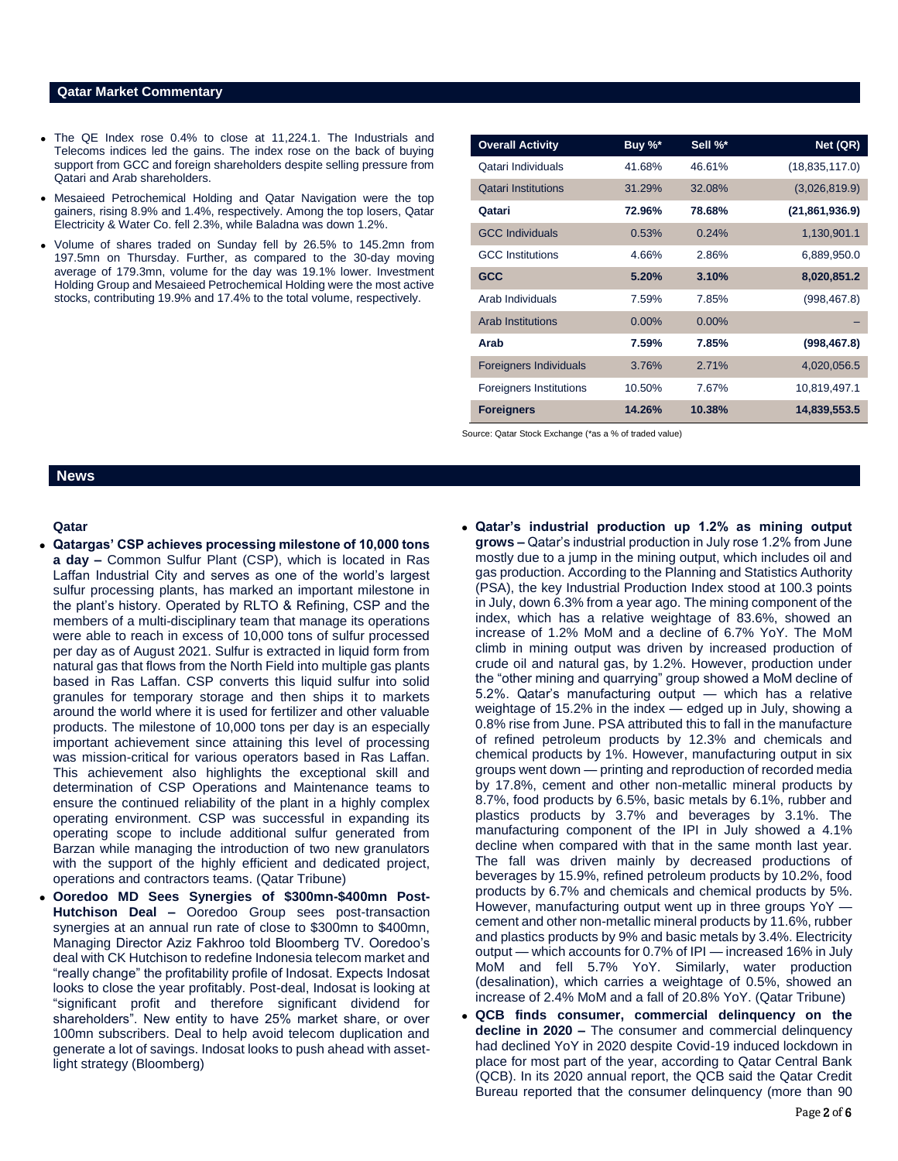#### **Qatar Market Commentary**

- The QE Index rose 0.4% to close at 11,224.1. The Industrials and Telecoms indices led the gains. The index rose on the back of buying support from GCC and foreign shareholders despite selling pressure from Qatari and Arab shareholders.
- Mesaieed Petrochemical Holding and Qatar Navigation were the top gainers, rising 8.9% and 1.4%, respectively. Among the top losers, Qatar Electricity & Water Co. fell 2.3%, while Baladna was down 1.2%.
- Volume of shares traded on Sunday fell by 26.5% to 145.2mn from 197.5mn on Thursday. Further, as compared to the 30-day moving average of 179.3mn, volume for the day was 19.1% lower. Investment Holding Group and Mesaieed Petrochemical Holding were the most active stocks, contributing 19.9% and 17.4% to the total volume, respectively.

| <b>Overall Activity</b>        | Buy %*   | Sell %*  | Net (QR)         |
|--------------------------------|----------|----------|------------------|
| Qatari Individuals             | 41.68%   | 46.61%   | (18, 835, 117.0) |
| <b>Qatari Institutions</b>     | 31.29%   | 32.08%   | (3,026,819.9)    |
| Qatari                         | 72.96%   | 78.68%   | (21, 861, 936.9) |
| <b>GCC Individuals</b>         | 0.53%    | 0.24%    | 1,130,901.1      |
| <b>GCC</b> Institutions        | 4.66%    | 2.86%    | 6,889,950.0      |
| <b>GCC</b>                     | 5.20%    | 3.10%    | 8,020,851.2      |
| Arab Individuals               | 7.59%    | 7.85%    | (998, 467.8)     |
| <b>Arab Institutions</b>       | $0.00\%$ | $0.00\%$ |                  |
| Arab                           | 7.59%    | 7.85%    | (998, 467.8)     |
| <b>Foreigners Individuals</b>  | 3.76%    | 2.71%    | 4,020,056.5      |
| <b>Foreigners Institutions</b> | 10.50%   | 7.67%    | 10,819,497.1     |
| <b>Foreigners</b>              | 14.26%   | 10.38%   | 14,839,553.5     |

Source: Qatar Stock Exchange (\*as a % of traded value)

#### **News**

#### **Qatar**

- **Qatargas' CSP achieves processing milestone of 10,000 tons a day –** Common Sulfur Plant (CSP), which is located in Ras Laffan Industrial City and serves as one of the world's largest sulfur processing plants, has marked an important milestone in the plant's history. Operated by RLTO & Refining, CSP and the members of a multi-disciplinary team that manage its operations were able to reach in excess of 10,000 tons of sulfur processed per day as of August 2021. Sulfur is extracted in liquid form from natural gas that flows from the North Field into multiple gas plants based in Ras Laffan. CSP converts this liquid sulfur into solid granules for temporary storage and then ships it to markets around the world where it is used for fertilizer and other valuable products. The milestone of 10,000 tons per day is an especially important achievement since attaining this level of processing was mission-critical for various operators based in Ras Laffan. This achievement also highlights the exceptional skill and determination of CSP Operations and Maintenance teams to ensure the continued reliability of the plant in a highly complex operating environment. CSP was successful in expanding its operating scope to include additional sulfur generated from Barzan while managing the introduction of two new granulators with the support of the highly efficient and dedicated project, operations and contractors teams. (Qatar Tribune)
- **Ooredoo MD Sees Synergies of \$300mn-\$400mn Post-Hutchison Deal –** Ooredoo Group sees post-transaction synergies at an annual run rate of close to \$300mn to \$400mn, Managing Director Aziz Fakhroo told Bloomberg TV. Ooredoo's deal with CK Hutchison to redefine Indonesia telecom market and "really change" the profitability profile of Indosat. Expects Indosat looks to close the year profitably. Post-deal, Indosat is looking at "significant profit and therefore significant dividend for shareholders". New entity to have 25% market share, or over 100mn subscribers. Deal to help avoid telecom duplication and generate a lot of savings. Indosat looks to push ahead with assetlight strategy (Bloomberg)
- **Qatar's industrial production up 1.2% as mining output grows –** Qatar's industrial production in July rose 1.2% from June mostly due to a jump in the mining output, which includes oil and gas production. According to the Planning and Statistics Authority (PSA), the key Industrial Production Index stood at 100.3 points in July, down 6.3% from a year ago. The mining component of the index, which has a relative weightage of 83.6%, showed an increase of 1.2% MoM and a decline of 6.7% YoY. The MoM climb in mining output was driven by increased production of crude oil and natural gas, by 1.2%. However, production under the "other mining and quarrying" group showed a MoM decline of 5.2%. Qatar's manufacturing output — which has a relative weightage of 15.2% in the index — edged up in July, showing a 0.8% rise from June. PSA attributed this to fall in the manufacture of refined petroleum products by 12.3% and chemicals and chemical products by 1%. However, manufacturing output in six groups went down — printing and reproduction of recorded media by 17.8%, cement and other non-metallic mineral products by 8.7%, food products by 6.5%, basic metals by 6.1%, rubber and plastics products by 3.7% and beverages by 3.1%. The manufacturing component of the IPI in July showed a 4.1% decline when compared with that in the same month last year. The fall was driven mainly by decreased productions of beverages by 15.9%, refined petroleum products by 10.2%, food products by 6.7% and chemicals and chemical products by 5%. However, manufacturing output went up in three groups YoY cement and other non-metallic mineral products by 11.6%, rubber and plastics products by 9% and basic metals by 3.4%. Electricity output — which accounts for 0.7% of IPI — increased 16% in July MoM and fell 5.7% YoY. Similarly, water production (desalination), which carries a weightage of 0.5%, showed an increase of 2.4% MoM and a fall of 20.8% YoY. (Qatar Tribune)
- **QCB finds consumer, commercial delinquency on the decline in 2020 –** The consumer and commercial delinquency had declined YoY in 2020 despite Covid-19 induced lockdown in place for most part of the year, according to Qatar Central Bank (QCB). In its 2020 annual report, the QCB said the Qatar Credit Bureau reported that the consumer delinquency (more than 90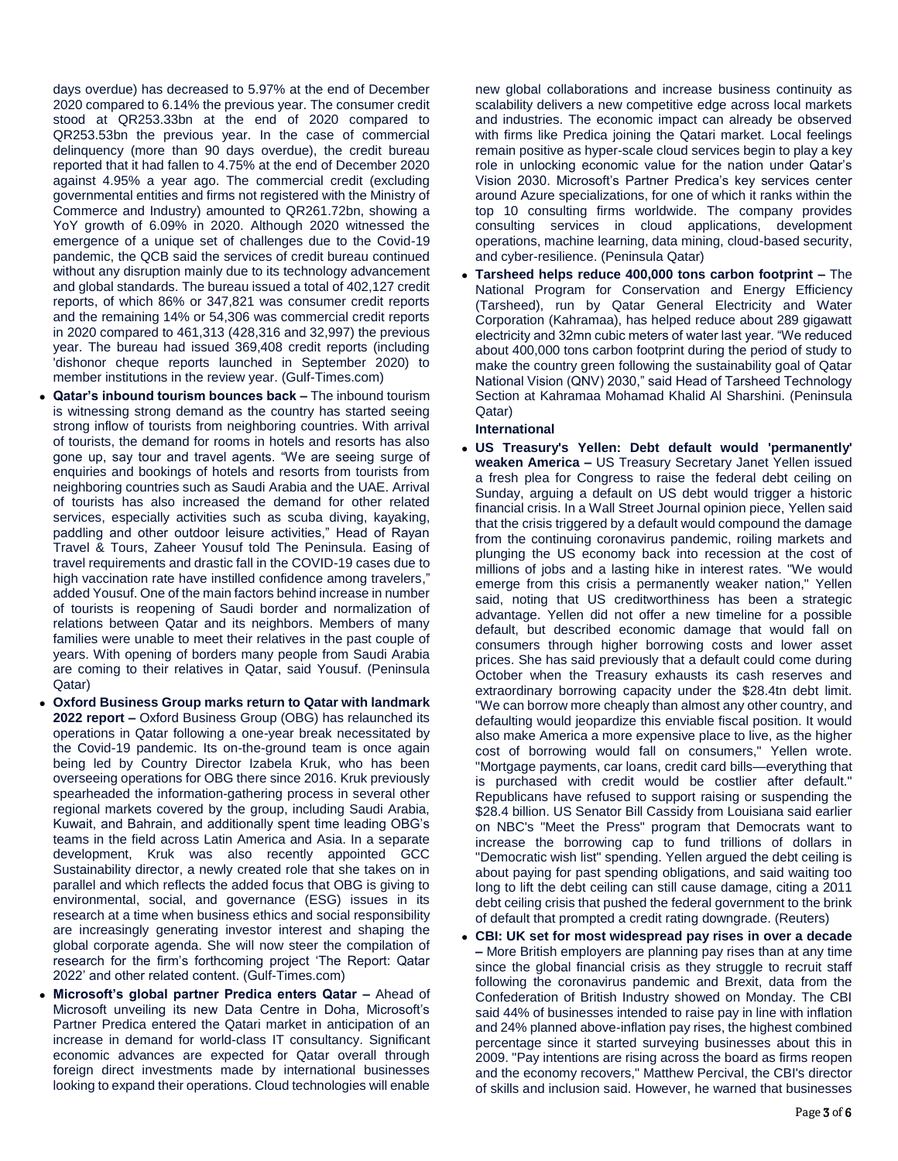days overdue) has decreased to 5.97% at the end of December 2020 compared to 6.14% the previous year. The consumer credit stood at QR253.33bn at the end of 2020 compared to QR253.53bn the previous year. In the case of commercial delinquency (more than 90 days overdue), the credit bureau reported that it had fallen to 4.75% at the end of December 2020 against 4.95% a year ago. The commercial credit (excluding governmental entities and firms not registered with the Ministry of Commerce and Industry) amounted to QR261.72bn, showing a YoY growth of 6.09% in 2020. Although 2020 witnessed the emergence of a unique set of challenges due to the Covid-19 pandemic, the QCB said the services of credit bureau continued without any disruption mainly due to its technology advancement and global standards. The bureau issued a total of 402,127 credit reports, of which 86% or 347,821 was consumer credit reports and the remaining 14% or 54,306 was commercial credit reports in 2020 compared to 461,313 (428,316 and 32,997) the previous year. The bureau had issued 369,408 credit reports (including 'dishonor cheque reports launched in September 2020) to member institutions in the review year. (Gulf-Times.com)

- **Qatar's inbound tourism bounces back –** The inbound tourism is witnessing strong demand as the country has started seeing strong inflow of tourists from neighboring countries. With arrival of tourists, the demand for rooms in hotels and resorts has also gone up, say tour and travel agents. "We are seeing surge of enquiries and bookings of hotels and resorts from tourists from neighboring countries such as Saudi Arabia and the UAE. Arrival of tourists has also increased the demand for other related services, especially activities such as scuba diving, kayaking, paddling and other outdoor leisure activities," Head of Rayan Travel & Tours, Zaheer Yousuf told The Peninsula. Easing of travel requirements and drastic fall in the COVID-19 cases due to high vaccination rate have instilled confidence among travelers," added Yousuf. One of the main factors behind increase in number of tourists is reopening of Saudi border and normalization of relations between Qatar and its neighbors. Members of many families were unable to meet their relatives in the past couple of years. With opening of borders many people from Saudi Arabia are coming to their relatives in Qatar, said Yousuf. (Peninsula Qatar)
- **Oxford Business Group marks return to Qatar with landmark 2022 report –** Oxford Business Group (OBG) has relaunched its operations in Qatar following a one-year break necessitated by the Covid-19 pandemic. Its on-the-ground team is once again being led by Country Director Izabela Kruk, who has been overseeing operations for OBG there since 2016. Kruk previously spearheaded the information-gathering process in several other regional markets covered by the group, including Saudi Arabia, Kuwait, and Bahrain, and additionally spent time leading OBG's teams in the field across Latin America and Asia. In a separate development, Kruk was also recently appointed GCC Sustainability director, a newly created role that she takes on in parallel and which reflects the added focus that OBG is giving to environmental, social, and governance (ESG) issues in its research at a time when business ethics and social responsibility are increasingly generating investor interest and shaping the global corporate agenda. She will now steer the compilation of research for the firm's forthcoming project 'The Report: Qatar 2022' and other related content. (Gulf-Times.com)
- **Microsoft's global partner Predica enters Qatar –** Ahead of Microsoft unveiling its new Data Centre in Doha, Microsoft's Partner Predica entered the Qatari market in anticipation of an increase in demand for world-class IT consultancy. Significant economic advances are expected for Qatar overall through foreign direct investments made by international businesses looking to expand their operations. Cloud technologies will enable

new global collaborations and increase business continuity as scalability delivers a new competitive edge across local markets and industries. The economic impact can already be observed with firms like Predica joining the Qatari market. Local feelings remain positive as hyper-scale cloud services begin to play a key role in unlocking economic value for the nation under Qatar's Vision 2030. Microsoft's Partner Predica's key services center around Azure specializations, for one of which it ranks within the top 10 consulting firms worldwide. The company provides consulting services in cloud applications, development operations, machine learning, data mining, cloud-based security, and cyber-resilience. (Peninsula Qatar)

 **Tarsheed helps reduce 400,000 tons carbon footprint –** The National Program for Conservation and Energy Efficiency (Tarsheed), run by Qatar General Electricity and Water Corporation (Kahramaa), has helped reduce about 289 gigawatt electricity and 32mn cubic meters of water last year. "We reduced about 400,000 tons carbon footprint during the period of study to make the country green following the sustainability goal of Qatar National Vision (QNV) 2030," said Head of Tarsheed Technology Section at Kahramaa Mohamad Khalid Al Sharshini. (Peninsula Qatar)

### **International**

- **US Treasury's Yellen: Debt default would 'permanently' weaken America –** US Treasury Secretary Janet Yellen issued a fresh plea for Congress to raise the federal debt ceiling on Sunday, arguing a default on US debt would trigger a historic financial crisis. In a Wall Street Journal opinion piece, Yellen said that the crisis triggered by a default would compound the damage from the continuing coronavirus pandemic, roiling markets and plunging the US economy back into recession at the cost of millions of jobs and a lasting hike in interest rates. "We would emerge from this crisis a permanently weaker nation," Yellen said, noting that US creditworthiness has been a strategic advantage. Yellen did not offer a new timeline for a possible default, but described economic damage that would fall on consumers through higher borrowing costs and lower asset prices. She has said previously that a default could come during October when the Treasury exhausts its cash reserves and extraordinary borrowing capacity under the \$28.4tn debt limit. "We can borrow more cheaply than almost any other country, and defaulting would jeopardize this enviable fiscal position. It would also make America a more expensive place to live, as the higher cost of borrowing would fall on consumers," Yellen wrote. "Mortgage payments, car loans, credit card bills—everything that is purchased with credit would be costlier after default." Republicans have refused to support raising or suspending the \$28.4 billion. US Senator Bill Cassidy from Louisiana said earlier on NBC's "Meet the Press" program that Democrats want to increase the borrowing cap to fund trillions of dollars in "Democratic wish list" spending. Yellen argued the debt ceiling is about paying for past spending obligations, and said waiting too long to lift the debt ceiling can still cause damage, citing a 2011 debt ceiling crisis that pushed the federal government to the brink of default that prompted a credit rating downgrade. (Reuters)
- **CBI: UK set for most widespread pay rises in over a decade –** More British employers are planning pay rises than at any time since the global financial crisis as they struggle to recruit staff following the coronavirus pandemic and Brexit, data from the Confederation of British Industry showed on Monday. The CBI said 44% of businesses intended to raise pay in line with inflation and 24% planned above-inflation pay rises, the highest combined percentage since it started surveying businesses about this in 2009. "Pay intentions are rising across the board as firms reopen and the economy recovers," Matthew Percival, the CBI's director of skills and inclusion said. However, he warned that businesses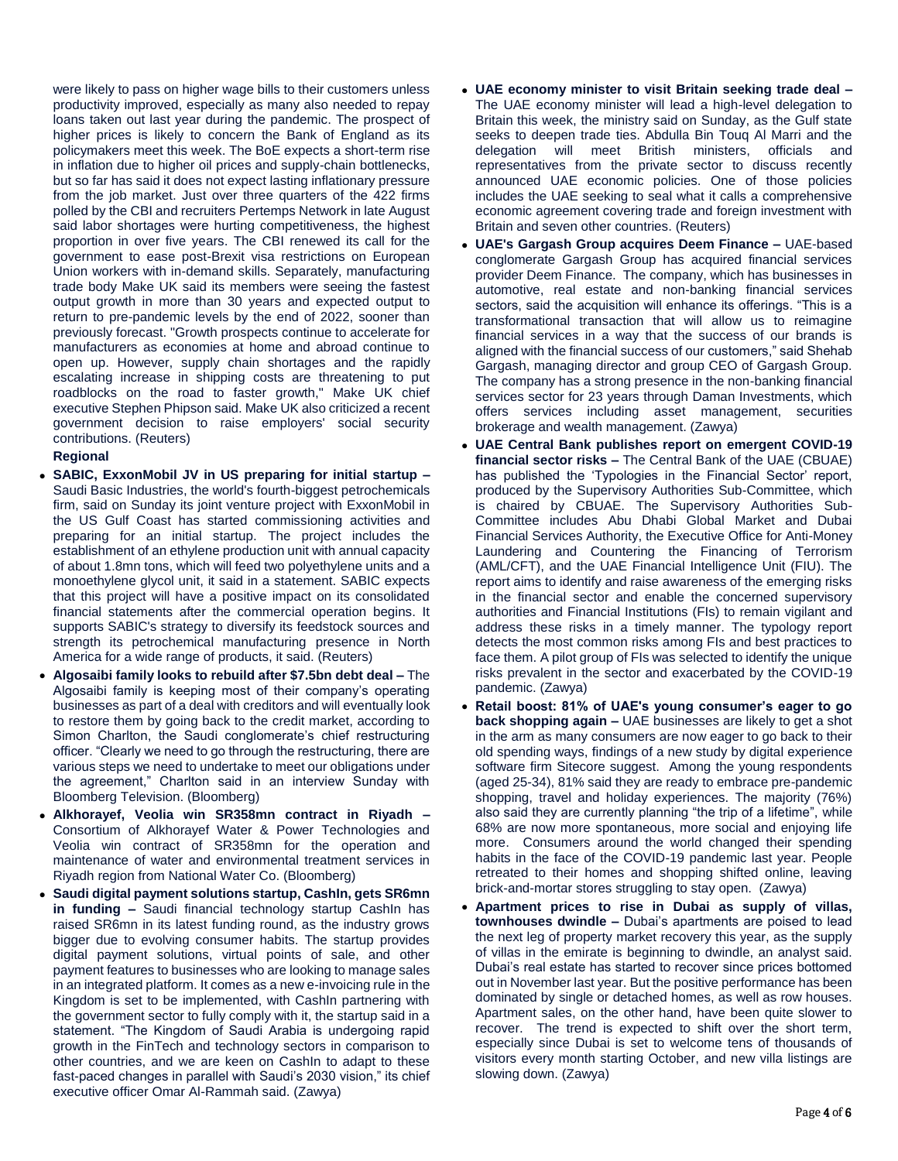were likely to pass on higher wage bills to their customers unless productivity improved, especially as many also needed to repay loans taken out last year during the pandemic. The prospect of higher prices is likely to concern the Bank of England as its policymakers meet this week. The BoE expects a short-term rise in inflation due to higher oil prices and supply-chain bottlenecks, but so far has said it does not expect lasting inflationary pressure from the job market. Just over three quarters of the 422 firms polled by the CBI and recruiters Pertemps Network in late August said labor shortages were hurting competitiveness, the highest proportion in over five years. The CBI renewed its call for the government to ease post-Brexit visa restrictions on European Union workers with in-demand skills. Separately, manufacturing trade body Make UK said its members were seeing the fastest output growth in more than 30 years and expected output to return to pre-pandemic levels by the end of 2022, sooner than previously forecast. "Growth prospects continue to accelerate for manufacturers as economies at home and abroad continue to open up. However, supply chain shortages and the rapidly escalating increase in shipping costs are threatening to put roadblocks on the road to faster growth," Make UK chief executive Stephen Phipson said. Make UK also criticized a recent government decision to raise employers' social security contributions. (Reuters)

### **Regional**

- **SABIC, ExxonMobil JV in US preparing for initial startup –** Saudi Basic Industries, the world's fourth-biggest petrochemicals firm, said on Sunday its joint venture project with ExxonMobil in the US Gulf Coast has started commissioning activities and preparing for an initial startup. The project includes the establishment of an ethylene production unit with annual capacity of about 1.8mn tons, which will feed two polyethylene units and a monoethylene glycol unit, it said in a statement. SABIC expects that this project will have a positive impact on its consolidated financial statements after the commercial operation begins. It supports SABIC's strategy to diversify its feedstock sources and strength its petrochemical manufacturing presence in North America for a wide range of products, it said. (Reuters)
- **Algosaibi family looks to rebuild after \$7.5bn debt deal –** The Algosaibi family is keeping most of their company's operating businesses as part of a deal with creditors and will eventually look to restore them by going back to the credit market, according to Simon Charlton, the Saudi conglomerate's chief restructuring officer. "Clearly we need to go through the restructuring, there are various steps we need to undertake to meet our obligations under the agreement," Charlton said in an interview Sunday with Bloomberg Television. (Bloomberg)
- **Alkhorayef, Veolia win SR358mn contract in Riyadh –** Consortium of Alkhorayef Water & Power Technologies and Veolia win contract of SR358mn for the operation and maintenance of water and environmental treatment services in Riyadh region from National Water Co. (Bloomberg)
- **Saudi digital payment solutions startup, CashIn, gets SR6mn in funding –** Saudi financial technology startup CashIn has raised SR6mn in its latest funding round, as the industry grows bigger due to evolving consumer habits. The startup provides digital payment solutions, virtual points of sale, and other payment features to businesses who are looking to manage sales in an integrated platform. It comes as a new e-invoicing rule in the Kingdom is set to be implemented, with CashIn partnering with the government sector to fully comply with it, the startup said in a statement. "The Kingdom of Saudi Arabia is undergoing rapid growth in the FinTech and technology sectors in comparison to other countries, and we are keen on CashIn to adapt to these fast-paced changes in parallel with Saudi's 2030 vision," its chief executive officer Omar Al-Rammah said. (Zawya)
- **UAE economy minister to visit Britain seeking trade deal –** The UAE economy minister will lead a high-level delegation to Britain this week, the ministry said on Sunday, as the Gulf state seeks to deepen trade ties. Abdulla Bin Touq Al Marri and the delegation will meet British ministers, officials and representatives from the private sector to discuss recently announced UAE economic policies. One of those policies includes the UAE seeking to seal what it calls a comprehensive economic agreement covering trade and foreign investment with Britain and seven other countries. (Reuters)
- **UAE's Gargash Group acquires Deem Finance –** UAE-based conglomerate Gargash Group has acquired financial services provider Deem Finance. The company, which has businesses in automotive, real estate and non-banking financial services sectors, said the acquisition will enhance its offerings. "This is a transformational transaction that will allow us to reimagine financial services in a way that the success of our brands is aligned with the financial success of our customers," said Shehab Gargash, managing director and group CEO of Gargash Group. The company has a strong presence in the non-banking financial services sector for 23 years through Daman Investments, which offers services including asset management, securities brokerage and wealth management. (Zawya)
- **UAE Central Bank publishes report on emergent COVID-19 financial sector risks –** The Central Bank of the UAE (CBUAE) has published the 'Typologies in the Financial Sector' report, produced by the Supervisory Authorities Sub-Committee, which is chaired by CBUAE. The Supervisory Authorities Sub-Committee includes Abu Dhabi Global Market and Dubai Financial Services Authority, the Executive Office for Anti-Money Laundering and Countering the Financing of Terrorism (AML/CFT), and the UAE Financial Intelligence Unit (FIU). The report aims to identify and raise awareness of the emerging risks in the financial sector and enable the concerned supervisory authorities and Financial Institutions (FIs) to remain vigilant and address these risks in a timely manner. The typology report detects the most common risks among FIs and best practices to face them. A pilot group of FIs was selected to identify the unique risks prevalent in the sector and exacerbated by the COVID-19 pandemic. (Zawya)
- **Retail boost: 81% of UAE's young consumer's eager to go back shopping again –** UAE businesses are likely to get a shot in the arm as many consumers are now eager to go back to their old spending ways, findings of a new study by digital experience software firm Sitecore suggest. Among the young respondents (aged 25-34), 81% said they are ready to embrace pre-pandemic shopping, travel and holiday experiences. The majority (76%) also said they are currently planning "the trip of a lifetime", while 68% are now more spontaneous, more social and enjoying life more. Consumers around the world changed their spending habits in the face of the COVID-19 pandemic last year. People retreated to their homes and shopping shifted online, leaving brick-and-mortar stores struggling to stay open. (Zawya)
- **Apartment prices to rise in Dubai as supply of villas, townhouses dwindle –** Dubai's apartments are poised to lead the next leg of property market recovery this year, as the supply of villas in the emirate is beginning to dwindle, an analyst said. Dubai's real estate has started to recover since prices bottomed out in November last year. But the positive performance has been dominated by single or detached homes, as well as row houses. Apartment sales, on the other hand, have been quite slower to recover. The trend is expected to shift over the short term, especially since Dubai is set to welcome tens of thousands of visitors every month starting October, and new villa listings are slowing down. (Zawya)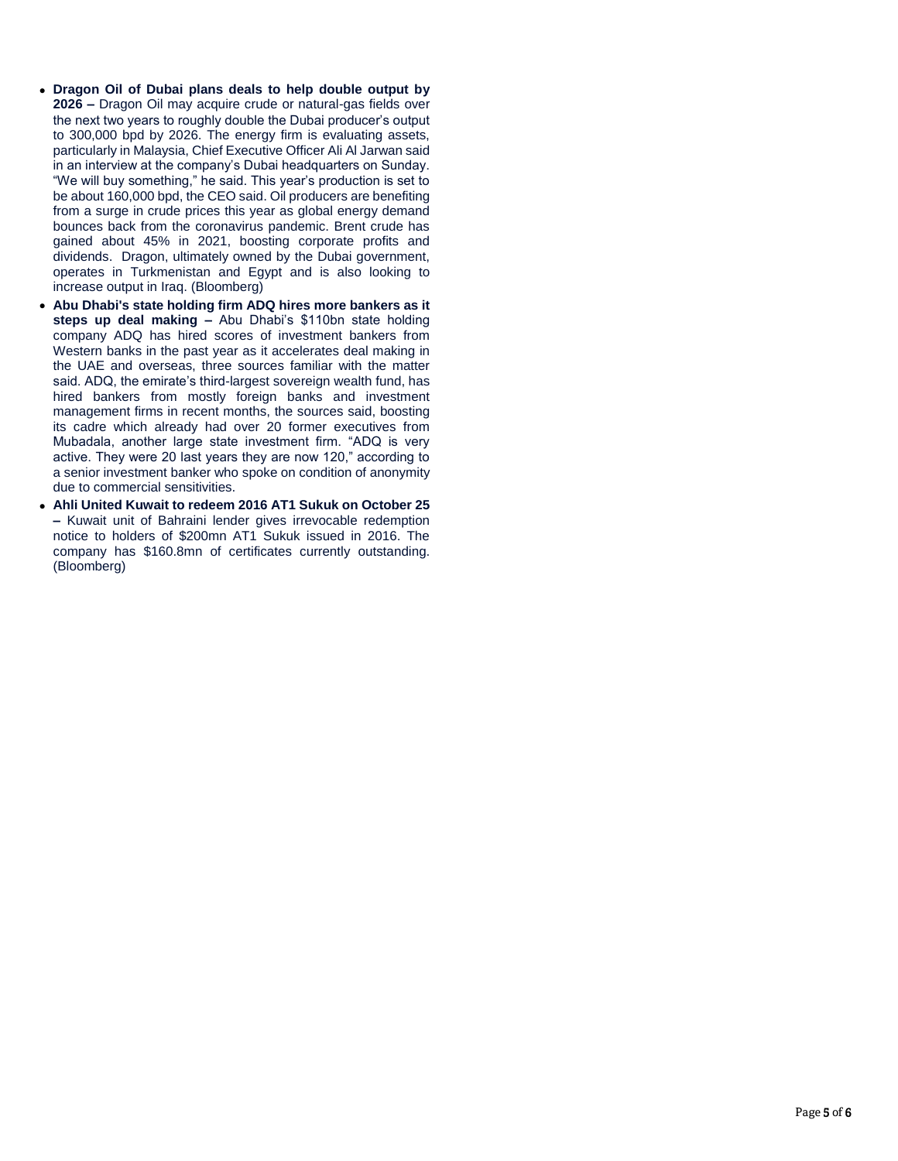- **Dragon Oil of Dubai plans deals to help double output by 2026 –** Dragon Oil may acquire crude or natural-gas fields over the next two years to roughly double the Dubai producer's output to 300,000 bpd by 2026. The energy firm is evaluating assets, particularly in Malaysia, Chief Executive Officer Ali Al Jarwan said in an interview at the company's Dubai headquarters on Sunday. "We will buy something," he said. This year's production is set to be about 160,000 bpd, the CEO said. Oil producers are benefiting from a surge in crude prices this year as global energy demand bounces back from the coronavirus pandemic. Brent crude has gained about 45% in 2021, boosting corporate profits and dividends. Dragon, ultimately owned by the Dubai government, operates in Turkmenistan and Egypt and is also looking to increase output in Iraq. (Bloomberg)
- **Abu Dhabi's state holding firm ADQ hires more bankers as it steps up deal making –** Abu Dhabi's \$110bn state holding company ADQ has hired scores of investment bankers from Western banks in the past year as it accelerates deal making in the UAE and overseas, three sources familiar with the matter said. ADQ, the emirate's third-largest sovereign wealth fund, has hired bankers from mostly foreign banks and investment management firms in recent months, the sources said, boosting its cadre which already had over 20 former executives from Mubadala, another large state investment firm. "ADQ is very active. They were 20 last years they are now 120," according to a senior investment banker who spoke on condition of anonymity due to commercial sensitivities.
- **Ahli United Kuwait to redeem 2016 AT1 Sukuk on October 25 –** Kuwait unit of Bahraini lender gives irrevocable redemption notice to holders of \$200mn AT1 Sukuk issued in 2016. The company has \$160.8mn of certificates currently outstanding. (Bloomberg)